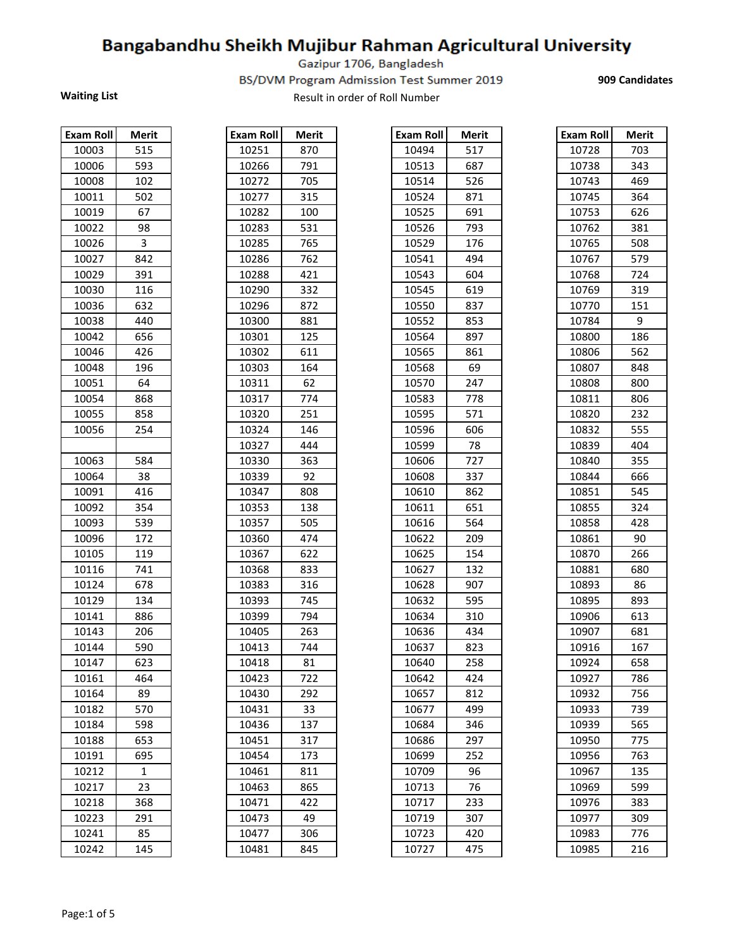Gazipur 1706, Bangladesh

BS/DVM Program Admission Test Summer 2019

**909 Candidates** 

| <b>Exam Roll</b> | Merit          |
|------------------|----------------|
| 10003            | 515            |
| 10006            | 593            |
| 10008            | 102            |
| 10011            | 502            |
| 10019            | 67             |
| 10022            | 98             |
| 10026            | 3              |
| 10027            | 842            |
| 10029            | 391            |
| 10030            | 116            |
| 10036            | 632            |
| 10038            | 440            |
| 10042            | 656            |
| 10046            | 426            |
| 10048            | 196            |
| 10051            | 64             |
| 10054            | 868            |
| 10055            | 858            |
| 10056            | 254            |
|                  |                |
| 10063            | 584            |
| 10064            | 38             |
| 10091            | 416            |
| 10092            | 354            |
| 10093            | 539            |
| 10096            | 172            |
| 10105            | 119            |
| 10116            | 741            |
| 10124            | 678            |
| 10129            | 134            |
| 10141            | 886            |
| 10143            | 206            |
| 10144            | 590            |
| 10147            | 623            |
| 10161            | 464            |
| 10164            | 89             |
| 10182            | 570            |
| 10184            | 598            |
| 10188            | 653            |
| 10191            | 695            |
| 10212            | $\overline{1}$ |
| 10217            | 23             |
| 10218            | 368            |
| 10223            | 291            |
| 10241            | 85             |
| 10242            | 145            |

| 870<br>791 |
|------------|
|            |
|            |
| 705        |
| 315        |
| 100        |
| 531        |
| 765        |
| 762        |
| 421        |
| 332        |
| 872        |
| 881        |
| 125        |
| 611        |
| 164        |
| 62         |
| 774        |
| 251        |
| 146        |
| 444        |
| 363        |
| 92         |
| 808        |
| 138        |
| 505        |
| 474        |
| 622        |
| 833        |
| 316        |
| 745        |
| 794        |
| 263        |
| 744        |
| 81         |
| 722        |
| 292        |
| 33         |
| 137        |
| 317        |
| 173        |
| 811        |
| 865        |
| 422        |
| 49         |
| 306        |
|            |

| Exam Roll | <b>Merit</b> | <b>Exam Roll</b> | <b>Merit</b> | Exam Roll | <b>Merit</b> | Exam Roll | <b>Merit</b> |
|-----------|--------------|------------------|--------------|-----------|--------------|-----------|--------------|
| 10003     | 515          | 10251            | 870          | 10494     | 517          | 10728     | 703          |
| 10006     | 593          | 10266            | 791          | 10513     | 687          | 10738     | 343          |
| 10008     | 102          | 10272            | 705          | 10514     | 526          | 10743     | 469          |
| 10011     | 502          | 10277            | 315          | 10524     | 871          | 10745     | 364          |
| 10019     | 67           | 10282            | 100          | 10525     | 691          | 10753     | 626          |
| 10022     | 98           | 10283            | 531          | 10526     | 793          | 10762     | 381          |
| 10026     | 3            | 10285            | 765          | 10529     | 176          | 10765     | 508          |
| 10027     | 842          | 10286            | 762          | 10541     | 494          | 10767     | 579          |
| 10029     | 391          | 10288            | 421          | 10543     | 604          | 10768     | 724          |
| 10030     | 116          | 10290            | 332          | 10545     | 619          | 10769     | 319          |
| 10036     | 632          | 10296            | 872          | 10550     | 837          | 10770     | 151          |
| 10038     | 440          | 10300            | 881          | 10552     | 853          | 10784     | 9            |
| 10042     | 656          | 10301            | 125          | 10564     | 897          | 10800     | 186          |
| 10046     | 426          | 10302            | 611          | 10565     | 861          | 10806     | 562          |
| 10048     | 196          | 10303            | 164          | 10568     | 69           | 10807     | 848          |
| 10051     | 64           | 10311            | 62           | 10570     | 247          | 10808     | 800          |
| 10054     | 868          | 10317            | 774          | 10583     | 778          | 10811     | 806          |
| 10055     | 858          | 10320            | 251          | 10595     | 571          | 10820     | 232          |
| 10056     | 254          | 10324            | 146          | 10596     | 606          | 10832     | 555          |
|           |              | 10327            | 444          | 10599     | 78           | 10839     | 404          |
| 10063     | 584          | 10330            | 363          | 10606     | 727          | 10840     | 355          |
| 10064     | 38           | 10339            | 92           | 10608     | 337          | 10844     | 666          |
| 10091     | 416          | 10347            | 808          | 10610     | 862          | 10851     | 545          |
| 10092     | 354          | 10353            | 138          | 10611     | 651          | 10855     | 324          |
| 10093     | 539          | 10357            | 505          | 10616     | 564          | 10858     | 428          |
| 10096     | 172          | 10360            | 474          | 10622     | 209          | 10861     | 90           |
| 10105     | 119          | 10367            | 622          | 10625     | 154          | 10870     | 266          |
| 10116     | 741          | 10368            | 833          | 10627     | 132          | 10881     | 680          |
| 10124     | 678          | 10383            | 316          | 10628     | 907          | 10893     | 86           |
| 10129     | 134          | 10393            | 745          | 10632     | 595          | 10895     | 893          |
| 10141     | 886          | 10399            | 794          | 10634     | 310          | 10906     | 613          |
| 10143     | 206          | 10405            | 263          | 10636     | 434          | 10907     | 681          |
| 10144     | 590          | 10413            | 744          | 10637     | 823          | 10916     | 167          |
| 10147     | 623          | 10418            | 81           | 10640     | 258          | 10924     | 658          |
| 10161     | 464          | 10423            | 722          | 10642     | 424          | 10927     | 786          |
| 10164     | 89           | 10430            | 292          | 10657     | 812          | 10932     | 756          |
| 10182     | 570          | 10431            | 33           | 10677     | 499          | 10933     | 739          |
| 10184     | 598          | 10436            | 137          | 10684     | 346          | 10939     | 565          |
| 10188     | 653          | 10451            | 317          | 10686     | 297          | 10950     | 775          |
| 10191     | 695          | 10454            | 173          | 10699     | 252          | 10956     | 763          |
| 10212     | 1            | 10461            | 811          | 10709     | 96           | 10967     | 135          |
| 10217     | 23           | 10463            | 865          | 10713     | 76           | 10969     | 599          |
| 10218     | 368          | 10471            | 422          | 10717     | 233          | 10976     | 383          |
| 10223     | 291          | 10473            | 49           | 10719     | 307          | 10977     | 309          |
| 10241     | 85           | 10477            | 306          | 10723     | 420          | 10983     | 776          |
| 10242     | 145          | 10481            | 845          | 10727     | 475          | 10985     | 216          |

| 10728<br>703<br>10738<br>343<br>10743<br>469<br>10745<br>364 |  |
|--------------------------------------------------------------|--|
|                                                              |  |
|                                                              |  |
|                                                              |  |
|                                                              |  |
| 10753<br>626                                                 |  |
| 10762<br>381                                                 |  |
| 10765<br>508                                                 |  |
| 579<br>10767                                                 |  |
| 10768<br>724                                                 |  |
| 319<br>10769                                                 |  |
| 151<br>10770                                                 |  |
| 10784<br>9                                                   |  |
| 10800<br>186                                                 |  |
| 10806<br>562                                                 |  |
| 10807<br>848                                                 |  |
| 10808<br>800                                                 |  |
| 10811<br>806                                                 |  |
| 10820<br>232                                                 |  |
| 555<br>10832                                                 |  |
| 10839<br>404                                                 |  |
| 355<br>10840                                                 |  |
| 10844<br>666                                                 |  |
| 545<br>10851                                                 |  |
| 10855<br>324                                                 |  |
| 10858<br>428                                                 |  |
| 90<br>10861                                                  |  |
| 10870<br>266                                                 |  |
| 10881<br>680                                                 |  |
| 10893<br>86                                                  |  |
| 10895<br>893                                                 |  |
| 10906<br>613                                                 |  |
| 10907<br>681                                                 |  |
| 10916<br>167                                                 |  |
| 10924<br>658                                                 |  |
| 10927<br>786                                                 |  |
| 10932<br>756                                                 |  |
| 10933<br>739                                                 |  |
| 10939<br>565                                                 |  |
| 775<br>10950                                                 |  |
| 10956<br>763                                                 |  |
| 135<br>10967                                                 |  |
| 599<br>10969                                                 |  |
| 10976<br>383                                                 |  |
| 10977<br>309                                                 |  |
| 776<br>10983                                                 |  |
| 10985<br>216                                                 |  |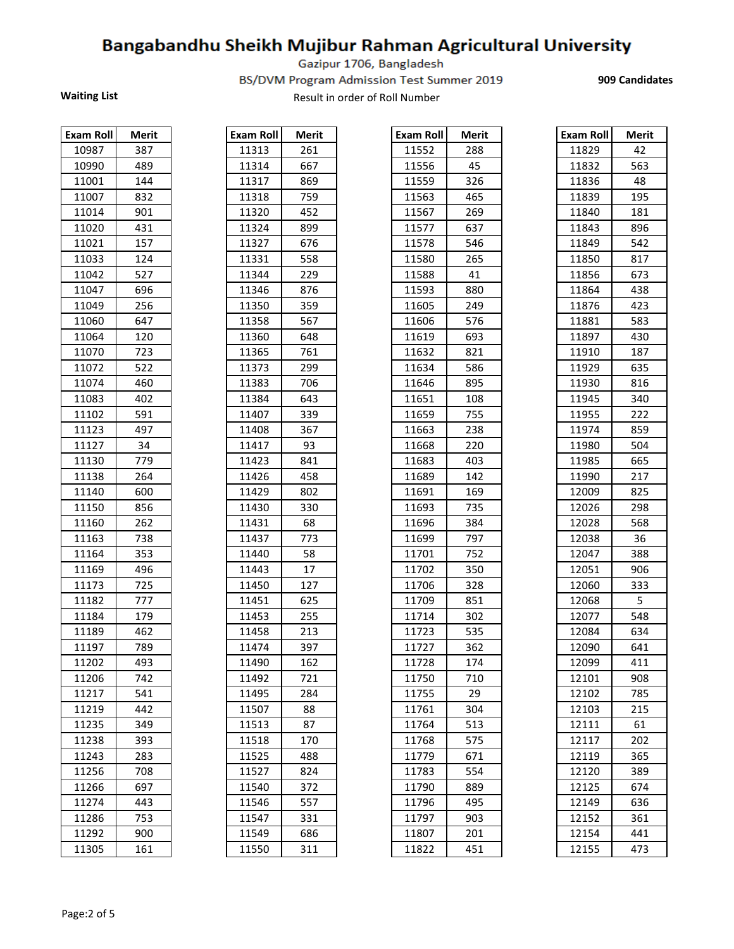Gazipur 1706, Bangladesh

BS/DVM Program Admission Test Summer 2019

**909 Candidates** 

| <b>Exam Roll</b> | Merit    |
|------------------|----------|
| 10987            | 387      |
| 10990            | 489      |
| 11001            | 144      |
| 11007            | 832      |
| 11014            | 901      |
| 11020            | 431      |
| 11021            | 157      |
| 11033            | 124      |
| 11042            | 527      |
| 11047            | 696      |
| 11049            | 256      |
| 11060            | 647      |
| 11064            | 120      |
| 11070            | 723      |
| 11072            | 522      |
| 11074            | 460      |
| 11083            | 402      |
| 11102            | 591      |
| 11123            | 497      |
| 11127            | 34       |
| 11130            | _<br>779 |
| 11138            | 264      |
| 11140            | 600      |
| 11150            | 856      |
| 11160            | 262      |
| 11163            | 738      |
| 11164            | 353      |
| 11169            | 496      |
| 11173            | 725      |
| 11182            | 777      |
| 11184            | 179      |
| 11189            | 462      |
| 11197            | 789      |
| 11202            | 493      |
| 11206            | 742      |
| 11217            | 541      |
| 11219            | 442      |
| 11235            | 349      |
| 11238            | 393      |
| 11243            | 283      |
| 11256            | 708      |
| 11266            | 697      |
| 11274            | 443      |
| 11286            | 753      |
| 11292            | 900      |
| 11305            | 161      |

| <b>Exam Roll</b>    | Merit    |
|---------------------|----------|
| 11313               | 261      |
| 11314               | 667      |
| 11317               | 869      |
| 11318               | 759      |
| 11320               | 452      |
| 11324               | 899      |
| 11327               | 676      |
| 11331               | 558      |
| 11344               | 229      |
| 11346               | 876      |
| 11350               | .<br>359 |
| 11358               | 567      |
| 11360               | 648      |
| 11365               | 761      |
| 11373               | 299      |
| 11383               | 706      |
| 11384               | 643      |
| 11407               | 339      |
| 11408               | 367      |
| 11417               | 93       |
| 11423               | 841      |
| $\overline{11}$ 426 | 458      |
| 11429               | 802      |
| 11430               | 330      |
| 11431               | 68       |
| 11437               | 773      |
| 11440               | 58       |
| 11443               | 17       |
| 11450               | 127      |
| 11451               | 625      |
| 11453               | 255      |
| 11458               | 213      |
| 11474               | 397      |
| 11490               | 162      |
| 11492               | 721      |
| 11495               | 284      |
| 11507               | 88       |
| 11513               | 87       |
| 11518               | 170      |
| 11525               | 488      |
| 11527               | 824      |
| 11540               | 372      |
| 11546               | 557      |
| 11547               | 331      |
| 11549               | 686      |
|                     |          |

| Exam Roll | Merit | <b>Exam Roll</b> | Merit | Exam Roll | Merit | Exam Roll | <b>Merit</b> |
|-----------|-------|------------------|-------|-----------|-------|-----------|--------------|
| 10987     | 387   | 11313            | 261   | 11552     | 288   | 11829     | 42           |
| 10990     | 489   | 11314            | 667   | 11556     | 45    | 11832     | 563          |
| 11001     | 144   | 11317            | 869   | 11559     | 326   | 11836     | 48           |
| 11007     | 832   | 11318            | 759   | 11563     | 465   | 11839     | 195          |
| 11014     | 901   | 11320            | 452   | 11567     | 269   | 11840     | 181          |
| 11020     | 431   | 11324            | 899   | 11577     | 637   | 11843     | 896          |
| 11021     | 157   | 11327            | 676   | 11578     | 546   | 11849     | 542          |
| 11033     | 124   | 11331            | 558   | 11580     | 265   | 11850     | 817          |
| 11042     | 527   | 11344            | 229   | 11588     | 41    | 11856     | 673          |
| 11047     | 696   | 11346            | 876   | 11593     | 880   | 11864     | 438          |
| 11049     | 256   | 11350            | 359   | 11605     | 249   | 11876     | 423          |
| 11060     | 647   | 11358            | 567   | 11606     | 576   | 11881     | 583          |
| 11064     | 120   | 11360            | 648   | 11619     | 693   | 11897     | 430          |
| 11070     | 723   | 11365            | 761   | 11632     | 821   | 11910     | 187          |
| 11072     | 522   | 11373            | 299   | 11634     | 586   | 11929     | 635          |
| 11074     | 460   | 11383            | 706   | 11646     | 895   | 11930     | 816          |
| 11083     | 402   | 11384            | 643   | 11651     | 108   | 11945     | 340          |
| 11102     | 591   | 11407            | 339   | 11659     | 755   | 11955     | 222          |
| 11123     | 497   | 11408            | 367   | 11663     | 238   | 11974     | 859          |
| 11127     | 34    | 11417            | 93    | 11668     | 220   | 11980     | 504          |
| 11130     | 779   | 11423            | 841   | 11683     | 403   | 11985     | 665          |
| 11138     | 264   | 11426            | 458   | 11689     | 142   | 11990     | 217          |
| 11140     | 600   | 11429            | 802   | 11691     | 169   | 12009     | 825          |
| 11150     | 856   | 11430            | 330   | 11693     | 735   | 12026     | 298          |
| 11160     | 262   | 11431            | 68    | 11696     | 384   | 12028     | 568          |
| 11163     | 738   | 11437            | 773   | 11699     | 797   | 12038     | 36           |
| 11164     | 353   | 11440            | 58    | 11701     | 752   | 12047     | 388          |
| 11169     | 496   | 11443            | 17    | 11702     | 350   | 12051     | 906          |
| 11173     | 725   | 11450            | 127   | 11706     | 328   | 12060     | 333          |
| 11182     | 777   | 11451            | 625   | 11709     | 851   | 12068     | 5            |
| 11184     | 179   | 11453            | 255   | 11714     | 302   | 12077     | 548          |
| 11189     | 462   | 11458            | 213   | 11723     | 535   | 12084     | 634          |
| 11197     | 789   | 11474            | 397   | 11727     | 362   | 12090     | 641          |
| 11202     | 493   | 11490            | 162   | 11728     | 174   | 12099     | 411          |
| 11206     | 742   | 11492            | 721   | 11750     | 710   | 12101     | 908          |
| 11217     | 541   | 11495            | 284   | 11755     | 29    | 12102     | 785          |
| 11219     | 442   | 11507            | 88    | 11761     | 304   | 12103     | 215          |
| 11235     | 349   | 11513            | 87    | 11764     | 513   | 12111     | 61           |
| 11238     | 393   | 11518            | 170   | 11768     | 575   | 12117     | 202          |
| 11243     | 283   | 11525            | 488   | 11779     | 671   | 12119     | 365          |
| 11256     | 708   | 11527            | 824   | 11783     | 554   | 12120     | 389          |
| 11266     | 697   | 11540            | 372   | 11790     | 889   | 12125     | 674          |
| 11274     | 443   | 11546            | 557   | 11796     | 495   | 12149     | 636          |
| 11286     | 753   | 11547            | 331   | 11797     | 903   | 12152     | 361          |
| 11292     | 900   | 11549            | 686   | 11807     | 201   | 12154     | 441          |
| 11305     | 161   | 11550            | 311   | 11822     | 451   | 12155     | 473          |

| Exam Roll | Merit |
|-----------|-------|
| 11829     | 42    |
| 11832     | 563   |
| 11836     | 48    |
| 11839     | 195   |
| 11840     | 181   |
| 11843     | 896   |
| 11849     | 542   |
| 11850     | 817   |
| 11856     | 673   |
| 11864     | 438   |
| 11876     | 423   |
| 11881     | 583   |
| 11897     | 430   |
| 11910     | 187   |
| 11929     | 635   |
| 11930     | 816   |
| 11945     | 340   |
| 11955     | 222   |
| 11974     | 859   |
| 11980     | 504   |
| 11985     | 665   |
| 11990     | 217   |
| 12009     | 825   |
| 12026     | 298   |
| 12028     | 568   |
| 12038     | 36    |
| 12047     | 388   |
| 12051     | 906   |
| 12060     | 333   |
| 12068     | 5     |
| 12077     | 548   |
| 12084     | 634   |
| 12090     | 641   |
| 12099     | 411   |
| 12101     | 908   |
| 12102     | 785   |
| 12103     | 215   |
| 12111     | 61    |
| 12117     | 202   |
| 12119     | 365   |
| 12120     | 389   |
| 12125     | 674   |
| 12149     | 636   |
| 12152     | 361   |
| 12154     | 441   |
| 12155     | 473   |
|           |       |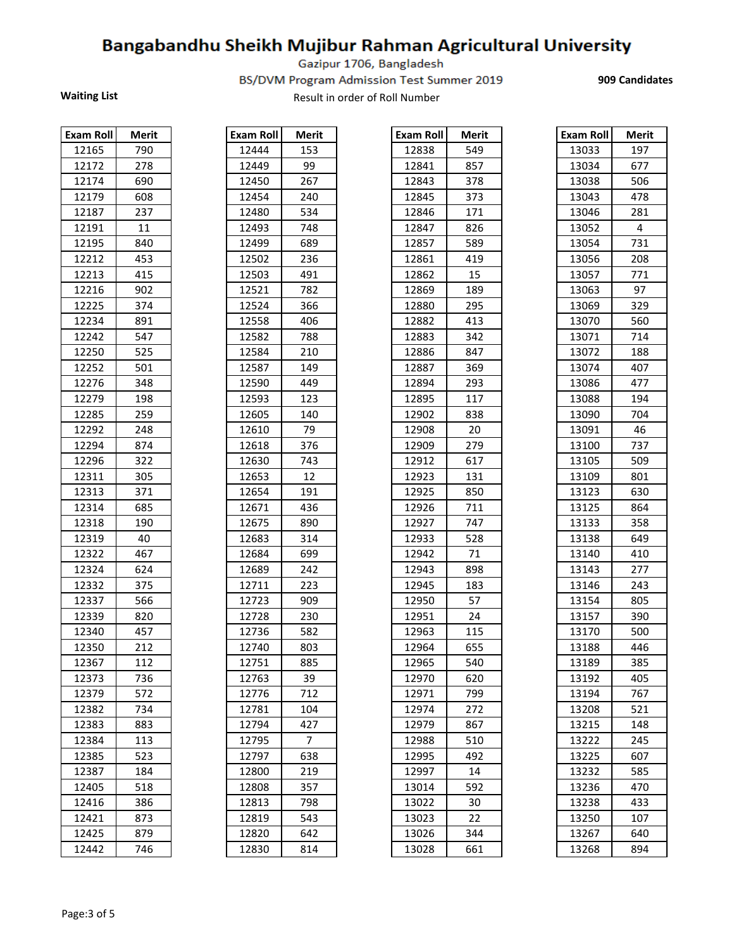Gazipur 1706, Bangladesh

BS/DVM Program Admission Test Summer 2019

Waiting List **Waiting List** Result in order of Roll Number

**909 Candidates** 

| <b>Exam Roll</b> | Merit |
|------------------|-------|
| 12165            | 790   |
| 12172            | 278   |
| 12174            | 690   |
| 12179            | 608   |
| 12187            | 237   |
| 12191            | 11    |
| 12195            | 840   |
| 12212            | 453   |
| 12213            | 415   |
| 12216            | 902   |
| 12225            | 374   |
| 12234            | 891   |
| 12242            | 547   |
| 12250            | 525   |
| 12252            | 501   |
| 12276            | 348   |
| 12279            | 198   |
| 12285            | 259   |
| 12292            | 248   |
| 12294            | 874   |
| 12296            | 322   |
| 12311            | 305   |
| 12313            | 371   |
| 12314            | 685   |
| 12318            | 190   |
| 12319            | 40    |
| 12322            | 467   |
| 12324            | 624   |
| 12332            | 375   |
| 12337            | 566   |
| 12339            | 820   |
| 12340            | 457   |
| 12350            | 212   |
| 12367            |       |
|                  | 112   |
| 12373            | 736   |
| 12379            | 572   |
| 12382            | 734   |
| 12383            | 883   |
| 12384            | 113   |
| 12385            | 523   |
| 12387            | 184   |
| 12405            | 518   |
| 12416            | 386   |
| 12421            | 873   |
| 12425            | 879   |
| 12442            | 746   |

| <b>Exam Roll</b> | Merit |
|------------------|-------|
| 12444            | 153   |
| 12449            | 99    |
| 12450            | 267   |
| 12454            | 240   |
| 12480            | 534   |
| 12493            | 748   |
| 12499            | 689   |
| 12502            | 236   |
| 12503            | 491   |
| 12521            | 782   |
| 12524            | 366   |
| 12558            | 406   |
| 12582            | 788   |
| 12584            | 210   |
| 12587            | 149   |
| 12590            | 449   |
| 12593            | 123   |
| 12605            | 140   |
| 12610            | 79    |
| 12618            | 376   |
| 12630            | 743   |
| 12653            | 12    |
| 12654            | 191   |
| 12671            | 436   |
| 12675            | 890   |
| 12683            | 314   |
| 12684            | 699   |
| 12689            | 242   |
| 12711            | 223   |
| 12723            | 909   |
| 12728            | 230   |
| 12736            | 582   |
| 12740            | 803   |
| 12751            | 885   |
| 12763            | 39    |
| 12776            | 712   |
| 12781            | 104   |
| 12794            | 427   |
| 12795            | 7     |
| 12797            | 638   |
| 12800            | 219   |
| 12808            | 357   |
| 12813            | 798   |
| 12819            | 543   |
| 12820            | 642   |
| 12830            | 814   |

| 12165<br>12444<br>13033<br>790<br>153<br>12838<br>549<br>99<br>12172<br>278<br>12841<br>13034<br>12449<br>857<br>12174<br>690<br>12450<br>267<br>12843<br>378<br>13038<br>608<br>373<br>12179<br>12454<br>240<br>12845<br>13043<br>12480<br>13046<br>12187<br>237<br>534<br>12846<br>171<br>12191<br>11<br>12493<br>826<br>13052<br>4<br>748<br>12847<br>12195<br>840<br>589<br>12499<br>689<br>12857<br>13054<br>12212<br>453<br>12502<br>236<br>12861<br>419<br>13056<br>12213<br>415<br>12503<br>491<br>12862<br>15<br>13057<br>12216<br>12521<br>782<br>97<br>902<br>12869<br>189<br>13063<br>12225<br>374<br>12524<br>295<br>13069<br>366<br>12880<br>12234<br>891<br>413<br>13070<br>12558<br>406<br>12882<br>547<br>788<br>12242<br>12582<br>12883<br>342<br>13071<br>12250<br>525<br>12584<br>210<br>12886<br>847<br>13072<br>12252<br>501<br>12587<br>13074<br>149<br>12887<br>369<br>12276<br>348<br>12590<br>12894<br>13086<br>449<br>293<br>12279<br>12593<br>13088<br>198<br>123<br>12895<br>117<br>12285<br>259<br>12605<br>140<br>12902<br>838<br>13090<br>12292<br>248<br>79<br>20<br>13091<br>46<br>12610<br>12908<br>12294<br>874<br>12618<br>376<br>12909<br>279<br>13100<br>12296<br>322<br>12630<br>743<br>12912<br>617<br>13105<br>12311<br>305<br>12653<br>12<br>12923<br>131<br>13109<br>12313<br>371<br>12654<br>191<br>12925<br>850<br>13123<br>12314<br>685<br>436<br>711<br>13125<br>12671<br>12926<br>12318<br>890<br>13133<br>190<br>12675<br>12927<br>747<br>12319<br>40<br>12683<br>314<br>12933<br>528<br>13138<br>12322<br>467<br>12684<br>12942<br>71<br>699<br>13140<br>12324<br>624<br>12689<br>242<br>12943<br>898<br>13143<br>12332<br>375<br>12711<br>223<br>12945<br>183<br>13146<br>12723<br>12337<br>566<br>909<br>12950<br>57<br>13154<br>12339<br>820<br>12728<br>230<br>12951<br>24<br>13157<br>582<br>12340<br>457<br>12736<br>12963<br>115<br>13170<br>212<br>655<br>13188<br>12350<br>12740<br>803<br>12964<br>112<br>885<br>540<br>12367<br>12751<br>12965<br>13189<br>12373<br>12763<br>12970<br>13192<br>736<br>39<br>620<br>12379<br>572<br>12776<br>12971<br>799<br>13194<br>712<br>12382<br>734<br>12781<br>104<br>12974<br>272<br>13208<br>12383<br>883<br>12794<br>427<br>12979<br>867<br>13215<br>$\overline{7}$<br>12384<br>113<br>12795<br>12988<br>510<br>13222<br>12385<br>523<br>12797<br>638<br>12995<br>13225<br>492<br>12387<br>12800<br>13232<br>184<br>219<br>12997<br>14<br>12405<br>12808<br>357<br>13236<br>518<br>13014<br>592<br>12416<br>12813<br>798<br>13022<br>30<br>13238<br>386<br>12421<br>873<br>13023<br>22<br>13250<br>12819<br>543<br>12425<br>879<br>12820<br>642<br>13026<br>344<br>13267<br>12442<br>12830<br>13268<br>746<br>814<br>13028<br>661 | Exam Roll | Merit | Exam Roll | <b>Merit</b> | Exam Roll | Merit | Exam Roll | <b>Merit</b> |
|------------------------------------------------------------------------------------------------------------------------------------------------------------------------------------------------------------------------------------------------------------------------------------------------------------------------------------------------------------------------------------------------------------------------------------------------------------------------------------------------------------------------------------------------------------------------------------------------------------------------------------------------------------------------------------------------------------------------------------------------------------------------------------------------------------------------------------------------------------------------------------------------------------------------------------------------------------------------------------------------------------------------------------------------------------------------------------------------------------------------------------------------------------------------------------------------------------------------------------------------------------------------------------------------------------------------------------------------------------------------------------------------------------------------------------------------------------------------------------------------------------------------------------------------------------------------------------------------------------------------------------------------------------------------------------------------------------------------------------------------------------------------------------------------------------------------------------------------------------------------------------------------------------------------------------------------------------------------------------------------------------------------------------------------------------------------------------------------------------------------------------------------------------------------------------------------------------------------------------------------------------------------------------------------------------------------------------------------------------------------------------------------------------------------------------------------------------------------------------------------------------------------------------------------------------------------------------------------------------------------------------------------------------------------------------------------------------------------------------------|-----------|-------|-----------|--------------|-----------|-------|-----------|--------------|
|                                                                                                                                                                                                                                                                                                                                                                                                                                                                                                                                                                                                                                                                                                                                                                                                                                                                                                                                                                                                                                                                                                                                                                                                                                                                                                                                                                                                                                                                                                                                                                                                                                                                                                                                                                                                                                                                                                                                                                                                                                                                                                                                                                                                                                                                                                                                                                                                                                                                                                                                                                                                                                                                                                                                          |           |       |           |              |           |       |           | 197          |
|                                                                                                                                                                                                                                                                                                                                                                                                                                                                                                                                                                                                                                                                                                                                                                                                                                                                                                                                                                                                                                                                                                                                                                                                                                                                                                                                                                                                                                                                                                                                                                                                                                                                                                                                                                                                                                                                                                                                                                                                                                                                                                                                                                                                                                                                                                                                                                                                                                                                                                                                                                                                                                                                                                                                          |           |       |           |              |           |       |           | 677          |
|                                                                                                                                                                                                                                                                                                                                                                                                                                                                                                                                                                                                                                                                                                                                                                                                                                                                                                                                                                                                                                                                                                                                                                                                                                                                                                                                                                                                                                                                                                                                                                                                                                                                                                                                                                                                                                                                                                                                                                                                                                                                                                                                                                                                                                                                                                                                                                                                                                                                                                                                                                                                                                                                                                                                          |           |       |           |              |           |       |           | 506          |
|                                                                                                                                                                                                                                                                                                                                                                                                                                                                                                                                                                                                                                                                                                                                                                                                                                                                                                                                                                                                                                                                                                                                                                                                                                                                                                                                                                                                                                                                                                                                                                                                                                                                                                                                                                                                                                                                                                                                                                                                                                                                                                                                                                                                                                                                                                                                                                                                                                                                                                                                                                                                                                                                                                                                          |           |       |           |              |           |       |           | 478          |
|                                                                                                                                                                                                                                                                                                                                                                                                                                                                                                                                                                                                                                                                                                                                                                                                                                                                                                                                                                                                                                                                                                                                                                                                                                                                                                                                                                                                                                                                                                                                                                                                                                                                                                                                                                                                                                                                                                                                                                                                                                                                                                                                                                                                                                                                                                                                                                                                                                                                                                                                                                                                                                                                                                                                          |           |       |           |              |           |       |           | 281          |
|                                                                                                                                                                                                                                                                                                                                                                                                                                                                                                                                                                                                                                                                                                                                                                                                                                                                                                                                                                                                                                                                                                                                                                                                                                                                                                                                                                                                                                                                                                                                                                                                                                                                                                                                                                                                                                                                                                                                                                                                                                                                                                                                                                                                                                                                                                                                                                                                                                                                                                                                                                                                                                                                                                                                          |           |       |           |              |           |       |           |              |
|                                                                                                                                                                                                                                                                                                                                                                                                                                                                                                                                                                                                                                                                                                                                                                                                                                                                                                                                                                                                                                                                                                                                                                                                                                                                                                                                                                                                                                                                                                                                                                                                                                                                                                                                                                                                                                                                                                                                                                                                                                                                                                                                                                                                                                                                                                                                                                                                                                                                                                                                                                                                                                                                                                                                          |           |       |           |              |           |       |           | 731          |
|                                                                                                                                                                                                                                                                                                                                                                                                                                                                                                                                                                                                                                                                                                                                                                                                                                                                                                                                                                                                                                                                                                                                                                                                                                                                                                                                                                                                                                                                                                                                                                                                                                                                                                                                                                                                                                                                                                                                                                                                                                                                                                                                                                                                                                                                                                                                                                                                                                                                                                                                                                                                                                                                                                                                          |           |       |           |              |           |       |           | 208          |
|                                                                                                                                                                                                                                                                                                                                                                                                                                                                                                                                                                                                                                                                                                                                                                                                                                                                                                                                                                                                                                                                                                                                                                                                                                                                                                                                                                                                                                                                                                                                                                                                                                                                                                                                                                                                                                                                                                                                                                                                                                                                                                                                                                                                                                                                                                                                                                                                                                                                                                                                                                                                                                                                                                                                          |           |       |           |              |           |       |           | 771          |
|                                                                                                                                                                                                                                                                                                                                                                                                                                                                                                                                                                                                                                                                                                                                                                                                                                                                                                                                                                                                                                                                                                                                                                                                                                                                                                                                                                                                                                                                                                                                                                                                                                                                                                                                                                                                                                                                                                                                                                                                                                                                                                                                                                                                                                                                                                                                                                                                                                                                                                                                                                                                                                                                                                                                          |           |       |           |              |           |       |           |              |
|                                                                                                                                                                                                                                                                                                                                                                                                                                                                                                                                                                                                                                                                                                                                                                                                                                                                                                                                                                                                                                                                                                                                                                                                                                                                                                                                                                                                                                                                                                                                                                                                                                                                                                                                                                                                                                                                                                                                                                                                                                                                                                                                                                                                                                                                                                                                                                                                                                                                                                                                                                                                                                                                                                                                          |           |       |           |              |           |       |           | 329          |
|                                                                                                                                                                                                                                                                                                                                                                                                                                                                                                                                                                                                                                                                                                                                                                                                                                                                                                                                                                                                                                                                                                                                                                                                                                                                                                                                                                                                                                                                                                                                                                                                                                                                                                                                                                                                                                                                                                                                                                                                                                                                                                                                                                                                                                                                                                                                                                                                                                                                                                                                                                                                                                                                                                                                          |           |       |           |              |           |       |           | 560          |
|                                                                                                                                                                                                                                                                                                                                                                                                                                                                                                                                                                                                                                                                                                                                                                                                                                                                                                                                                                                                                                                                                                                                                                                                                                                                                                                                                                                                                                                                                                                                                                                                                                                                                                                                                                                                                                                                                                                                                                                                                                                                                                                                                                                                                                                                                                                                                                                                                                                                                                                                                                                                                                                                                                                                          |           |       |           |              |           |       |           | 714          |
|                                                                                                                                                                                                                                                                                                                                                                                                                                                                                                                                                                                                                                                                                                                                                                                                                                                                                                                                                                                                                                                                                                                                                                                                                                                                                                                                                                                                                                                                                                                                                                                                                                                                                                                                                                                                                                                                                                                                                                                                                                                                                                                                                                                                                                                                                                                                                                                                                                                                                                                                                                                                                                                                                                                                          |           |       |           |              |           |       |           | 188          |
|                                                                                                                                                                                                                                                                                                                                                                                                                                                                                                                                                                                                                                                                                                                                                                                                                                                                                                                                                                                                                                                                                                                                                                                                                                                                                                                                                                                                                                                                                                                                                                                                                                                                                                                                                                                                                                                                                                                                                                                                                                                                                                                                                                                                                                                                                                                                                                                                                                                                                                                                                                                                                                                                                                                                          |           |       |           |              |           |       |           | 407          |
|                                                                                                                                                                                                                                                                                                                                                                                                                                                                                                                                                                                                                                                                                                                                                                                                                                                                                                                                                                                                                                                                                                                                                                                                                                                                                                                                                                                                                                                                                                                                                                                                                                                                                                                                                                                                                                                                                                                                                                                                                                                                                                                                                                                                                                                                                                                                                                                                                                                                                                                                                                                                                                                                                                                                          |           |       |           |              |           |       |           | 477          |
|                                                                                                                                                                                                                                                                                                                                                                                                                                                                                                                                                                                                                                                                                                                                                                                                                                                                                                                                                                                                                                                                                                                                                                                                                                                                                                                                                                                                                                                                                                                                                                                                                                                                                                                                                                                                                                                                                                                                                                                                                                                                                                                                                                                                                                                                                                                                                                                                                                                                                                                                                                                                                                                                                                                                          |           |       |           |              |           |       |           | 194          |
|                                                                                                                                                                                                                                                                                                                                                                                                                                                                                                                                                                                                                                                                                                                                                                                                                                                                                                                                                                                                                                                                                                                                                                                                                                                                                                                                                                                                                                                                                                                                                                                                                                                                                                                                                                                                                                                                                                                                                                                                                                                                                                                                                                                                                                                                                                                                                                                                                                                                                                                                                                                                                                                                                                                                          |           |       |           |              |           |       |           | 704          |
|                                                                                                                                                                                                                                                                                                                                                                                                                                                                                                                                                                                                                                                                                                                                                                                                                                                                                                                                                                                                                                                                                                                                                                                                                                                                                                                                                                                                                                                                                                                                                                                                                                                                                                                                                                                                                                                                                                                                                                                                                                                                                                                                                                                                                                                                                                                                                                                                                                                                                                                                                                                                                                                                                                                                          |           |       |           |              |           |       |           |              |
|                                                                                                                                                                                                                                                                                                                                                                                                                                                                                                                                                                                                                                                                                                                                                                                                                                                                                                                                                                                                                                                                                                                                                                                                                                                                                                                                                                                                                                                                                                                                                                                                                                                                                                                                                                                                                                                                                                                                                                                                                                                                                                                                                                                                                                                                                                                                                                                                                                                                                                                                                                                                                                                                                                                                          |           |       |           |              |           |       |           | 737          |
|                                                                                                                                                                                                                                                                                                                                                                                                                                                                                                                                                                                                                                                                                                                                                                                                                                                                                                                                                                                                                                                                                                                                                                                                                                                                                                                                                                                                                                                                                                                                                                                                                                                                                                                                                                                                                                                                                                                                                                                                                                                                                                                                                                                                                                                                                                                                                                                                                                                                                                                                                                                                                                                                                                                                          |           |       |           |              |           |       |           | 509          |
|                                                                                                                                                                                                                                                                                                                                                                                                                                                                                                                                                                                                                                                                                                                                                                                                                                                                                                                                                                                                                                                                                                                                                                                                                                                                                                                                                                                                                                                                                                                                                                                                                                                                                                                                                                                                                                                                                                                                                                                                                                                                                                                                                                                                                                                                                                                                                                                                                                                                                                                                                                                                                                                                                                                                          |           |       |           |              |           |       |           | 801          |
|                                                                                                                                                                                                                                                                                                                                                                                                                                                                                                                                                                                                                                                                                                                                                                                                                                                                                                                                                                                                                                                                                                                                                                                                                                                                                                                                                                                                                                                                                                                                                                                                                                                                                                                                                                                                                                                                                                                                                                                                                                                                                                                                                                                                                                                                                                                                                                                                                                                                                                                                                                                                                                                                                                                                          |           |       |           |              |           |       |           | 630          |
|                                                                                                                                                                                                                                                                                                                                                                                                                                                                                                                                                                                                                                                                                                                                                                                                                                                                                                                                                                                                                                                                                                                                                                                                                                                                                                                                                                                                                                                                                                                                                                                                                                                                                                                                                                                                                                                                                                                                                                                                                                                                                                                                                                                                                                                                                                                                                                                                                                                                                                                                                                                                                                                                                                                                          |           |       |           |              |           |       |           | 864          |
|                                                                                                                                                                                                                                                                                                                                                                                                                                                                                                                                                                                                                                                                                                                                                                                                                                                                                                                                                                                                                                                                                                                                                                                                                                                                                                                                                                                                                                                                                                                                                                                                                                                                                                                                                                                                                                                                                                                                                                                                                                                                                                                                                                                                                                                                                                                                                                                                                                                                                                                                                                                                                                                                                                                                          |           |       |           |              |           |       |           | 358          |
|                                                                                                                                                                                                                                                                                                                                                                                                                                                                                                                                                                                                                                                                                                                                                                                                                                                                                                                                                                                                                                                                                                                                                                                                                                                                                                                                                                                                                                                                                                                                                                                                                                                                                                                                                                                                                                                                                                                                                                                                                                                                                                                                                                                                                                                                                                                                                                                                                                                                                                                                                                                                                                                                                                                                          |           |       |           |              |           |       |           | 649          |
|                                                                                                                                                                                                                                                                                                                                                                                                                                                                                                                                                                                                                                                                                                                                                                                                                                                                                                                                                                                                                                                                                                                                                                                                                                                                                                                                                                                                                                                                                                                                                                                                                                                                                                                                                                                                                                                                                                                                                                                                                                                                                                                                                                                                                                                                                                                                                                                                                                                                                                                                                                                                                                                                                                                                          |           |       |           |              |           |       |           | 410          |
|                                                                                                                                                                                                                                                                                                                                                                                                                                                                                                                                                                                                                                                                                                                                                                                                                                                                                                                                                                                                                                                                                                                                                                                                                                                                                                                                                                                                                                                                                                                                                                                                                                                                                                                                                                                                                                                                                                                                                                                                                                                                                                                                                                                                                                                                                                                                                                                                                                                                                                                                                                                                                                                                                                                                          |           |       |           |              |           |       |           | 277          |
|                                                                                                                                                                                                                                                                                                                                                                                                                                                                                                                                                                                                                                                                                                                                                                                                                                                                                                                                                                                                                                                                                                                                                                                                                                                                                                                                                                                                                                                                                                                                                                                                                                                                                                                                                                                                                                                                                                                                                                                                                                                                                                                                                                                                                                                                                                                                                                                                                                                                                                                                                                                                                                                                                                                                          |           |       |           |              |           |       |           | 243          |
|                                                                                                                                                                                                                                                                                                                                                                                                                                                                                                                                                                                                                                                                                                                                                                                                                                                                                                                                                                                                                                                                                                                                                                                                                                                                                                                                                                                                                                                                                                                                                                                                                                                                                                                                                                                                                                                                                                                                                                                                                                                                                                                                                                                                                                                                                                                                                                                                                                                                                                                                                                                                                                                                                                                                          |           |       |           |              |           |       |           | 805          |
|                                                                                                                                                                                                                                                                                                                                                                                                                                                                                                                                                                                                                                                                                                                                                                                                                                                                                                                                                                                                                                                                                                                                                                                                                                                                                                                                                                                                                                                                                                                                                                                                                                                                                                                                                                                                                                                                                                                                                                                                                                                                                                                                                                                                                                                                                                                                                                                                                                                                                                                                                                                                                                                                                                                                          |           |       |           |              |           |       |           | 390          |
|                                                                                                                                                                                                                                                                                                                                                                                                                                                                                                                                                                                                                                                                                                                                                                                                                                                                                                                                                                                                                                                                                                                                                                                                                                                                                                                                                                                                                                                                                                                                                                                                                                                                                                                                                                                                                                                                                                                                                                                                                                                                                                                                                                                                                                                                                                                                                                                                                                                                                                                                                                                                                                                                                                                                          |           |       |           |              |           |       |           | 500          |
|                                                                                                                                                                                                                                                                                                                                                                                                                                                                                                                                                                                                                                                                                                                                                                                                                                                                                                                                                                                                                                                                                                                                                                                                                                                                                                                                                                                                                                                                                                                                                                                                                                                                                                                                                                                                                                                                                                                                                                                                                                                                                                                                                                                                                                                                                                                                                                                                                                                                                                                                                                                                                                                                                                                                          |           |       |           |              |           |       |           | 446          |
|                                                                                                                                                                                                                                                                                                                                                                                                                                                                                                                                                                                                                                                                                                                                                                                                                                                                                                                                                                                                                                                                                                                                                                                                                                                                                                                                                                                                                                                                                                                                                                                                                                                                                                                                                                                                                                                                                                                                                                                                                                                                                                                                                                                                                                                                                                                                                                                                                                                                                                                                                                                                                                                                                                                                          |           |       |           |              |           |       |           | 385          |
|                                                                                                                                                                                                                                                                                                                                                                                                                                                                                                                                                                                                                                                                                                                                                                                                                                                                                                                                                                                                                                                                                                                                                                                                                                                                                                                                                                                                                                                                                                                                                                                                                                                                                                                                                                                                                                                                                                                                                                                                                                                                                                                                                                                                                                                                                                                                                                                                                                                                                                                                                                                                                                                                                                                                          |           |       |           |              |           |       |           | 405          |
|                                                                                                                                                                                                                                                                                                                                                                                                                                                                                                                                                                                                                                                                                                                                                                                                                                                                                                                                                                                                                                                                                                                                                                                                                                                                                                                                                                                                                                                                                                                                                                                                                                                                                                                                                                                                                                                                                                                                                                                                                                                                                                                                                                                                                                                                                                                                                                                                                                                                                                                                                                                                                                                                                                                                          |           |       |           |              |           |       |           | 767          |
|                                                                                                                                                                                                                                                                                                                                                                                                                                                                                                                                                                                                                                                                                                                                                                                                                                                                                                                                                                                                                                                                                                                                                                                                                                                                                                                                                                                                                                                                                                                                                                                                                                                                                                                                                                                                                                                                                                                                                                                                                                                                                                                                                                                                                                                                                                                                                                                                                                                                                                                                                                                                                                                                                                                                          |           |       |           |              |           |       |           | 521          |
|                                                                                                                                                                                                                                                                                                                                                                                                                                                                                                                                                                                                                                                                                                                                                                                                                                                                                                                                                                                                                                                                                                                                                                                                                                                                                                                                                                                                                                                                                                                                                                                                                                                                                                                                                                                                                                                                                                                                                                                                                                                                                                                                                                                                                                                                                                                                                                                                                                                                                                                                                                                                                                                                                                                                          |           |       |           |              |           |       |           | 148          |
|                                                                                                                                                                                                                                                                                                                                                                                                                                                                                                                                                                                                                                                                                                                                                                                                                                                                                                                                                                                                                                                                                                                                                                                                                                                                                                                                                                                                                                                                                                                                                                                                                                                                                                                                                                                                                                                                                                                                                                                                                                                                                                                                                                                                                                                                                                                                                                                                                                                                                                                                                                                                                                                                                                                                          |           |       |           |              |           |       |           | 245          |
|                                                                                                                                                                                                                                                                                                                                                                                                                                                                                                                                                                                                                                                                                                                                                                                                                                                                                                                                                                                                                                                                                                                                                                                                                                                                                                                                                                                                                                                                                                                                                                                                                                                                                                                                                                                                                                                                                                                                                                                                                                                                                                                                                                                                                                                                                                                                                                                                                                                                                                                                                                                                                                                                                                                                          |           |       |           |              |           |       |           | 607          |
|                                                                                                                                                                                                                                                                                                                                                                                                                                                                                                                                                                                                                                                                                                                                                                                                                                                                                                                                                                                                                                                                                                                                                                                                                                                                                                                                                                                                                                                                                                                                                                                                                                                                                                                                                                                                                                                                                                                                                                                                                                                                                                                                                                                                                                                                                                                                                                                                                                                                                                                                                                                                                                                                                                                                          |           |       |           |              |           |       |           | 585          |
|                                                                                                                                                                                                                                                                                                                                                                                                                                                                                                                                                                                                                                                                                                                                                                                                                                                                                                                                                                                                                                                                                                                                                                                                                                                                                                                                                                                                                                                                                                                                                                                                                                                                                                                                                                                                                                                                                                                                                                                                                                                                                                                                                                                                                                                                                                                                                                                                                                                                                                                                                                                                                                                                                                                                          |           |       |           |              |           |       |           | 470          |
|                                                                                                                                                                                                                                                                                                                                                                                                                                                                                                                                                                                                                                                                                                                                                                                                                                                                                                                                                                                                                                                                                                                                                                                                                                                                                                                                                                                                                                                                                                                                                                                                                                                                                                                                                                                                                                                                                                                                                                                                                                                                                                                                                                                                                                                                                                                                                                                                                                                                                                                                                                                                                                                                                                                                          |           |       |           |              |           |       |           | 433          |
|                                                                                                                                                                                                                                                                                                                                                                                                                                                                                                                                                                                                                                                                                                                                                                                                                                                                                                                                                                                                                                                                                                                                                                                                                                                                                                                                                                                                                                                                                                                                                                                                                                                                                                                                                                                                                                                                                                                                                                                                                                                                                                                                                                                                                                                                                                                                                                                                                                                                                                                                                                                                                                                                                                                                          |           |       |           |              |           |       |           | 107          |
|                                                                                                                                                                                                                                                                                                                                                                                                                                                                                                                                                                                                                                                                                                                                                                                                                                                                                                                                                                                                                                                                                                                                                                                                                                                                                                                                                                                                                                                                                                                                                                                                                                                                                                                                                                                                                                                                                                                                                                                                                                                                                                                                                                                                                                                                                                                                                                                                                                                                                                                                                                                                                                                                                                                                          |           |       |           |              |           |       |           | 640          |
|                                                                                                                                                                                                                                                                                                                                                                                                                                                                                                                                                                                                                                                                                                                                                                                                                                                                                                                                                                                                                                                                                                                                                                                                                                                                                                                                                                                                                                                                                                                                                                                                                                                                                                                                                                                                                                                                                                                                                                                                                                                                                                                                                                                                                                                                                                                                                                                                                                                                                                                                                                                                                                                                                                                                          |           |       |           |              |           |       |           | 894          |

| Exam Roll | Merit |
|-----------|-------|
| 13033     | 197   |
| 13034     | 677   |
| 13038     | 506   |
| 13043     | 478   |
| 13046     | 281   |
| 13052     | 4     |
| 13054     | 731   |
| 13056     | 208   |
| 13057     | 771   |
| 13063     | 97    |
| 13069     | 329   |
| 13070     | 560   |
| 13071     | 714   |
| 13072     | 188   |
| 13074     | 407   |
| 13086     | 477   |
| 13088     | 194   |
| 13090     | 704   |
| 13091     | 46    |
| 13100     | 737   |
| 13105     | 509   |
| 13109     | 801   |
| 13123     | 630   |
| 13125     |       |
|           | 864   |
| 13133     | 358   |
| 13138     | 649   |
| 13140     | 410   |
| 13143     | 277   |
| 13146     | 243   |
| 13154     | 805   |
| 13157     | 390   |
| 13170     | 500   |
| 13188     | 446   |
| 13189     | 385   |
| 13192     | 405   |
| 13194     | 767   |
| 13208     | 521   |
| 13215     | 148   |
| 13222     | 245   |
| 13225     | 607   |
| 13232     | 585   |
| 13236     | 470   |
| 13238     | 433   |
| 13250     | 107   |
| 13267     | 640   |
| 13268     | 894   |
|           |       |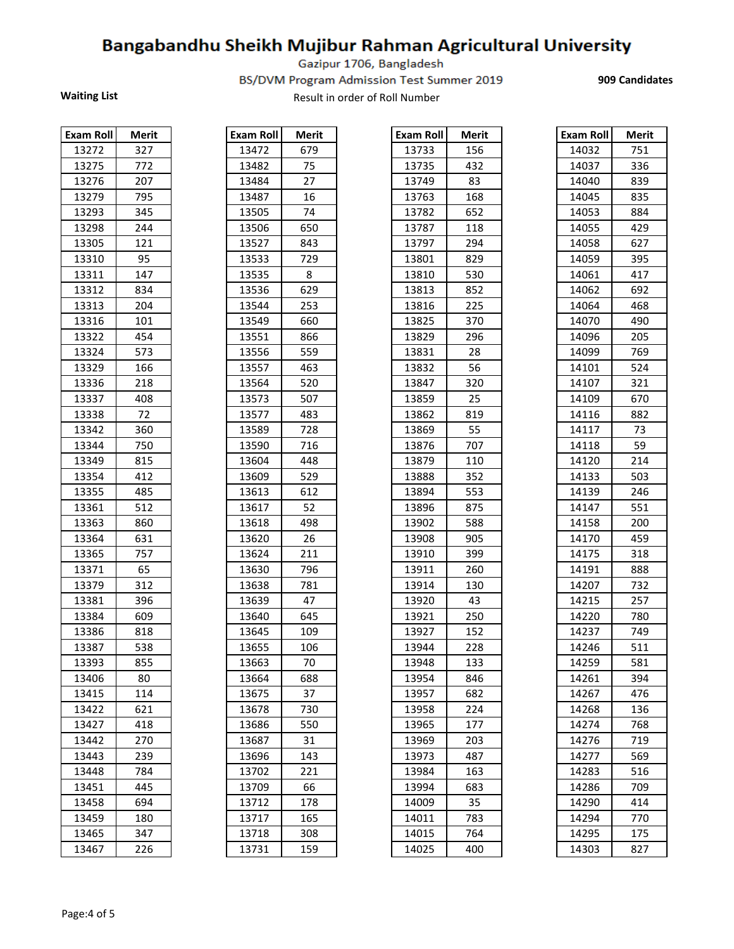Gazipur 1706, Bangladesh

BS/DVM Program Admission Test Summer 2019

**909 Candidates** 

| <b>Exam Roll</b> | Merit |
|------------------|-------|
| 13272            | 327   |
| 13275            | 772   |
| 13276            | 207   |
| 13279            | 795   |
| 13293            | 345   |
| 13298            | 244   |
| 13305            | 121   |
| 13310            | 95    |
| 13311            | 147   |
| 13312            | 834   |
| 13313            | 204   |
| 13316            | 101   |
| 13322            | 454   |
| 13324            | 573   |
| 13329            | 166   |
| 13336            | 218   |
| 13337            | 408   |
| 13338            | 72    |
| 13342            | 360   |
| 13344            | 750   |
| 13349            | 815   |
| 13354            | 412   |
| 13355            | 485   |
| 13361            | 512   |
| 13363            | 860   |
| 13364            | 631   |
| 13365            | 757   |
| 13371            | 65    |
| 13379            | 312   |
| 13381            | 396   |
| 13384            | 609   |
| 13386            | 818   |
| 13387            | 538   |
| 13393            | 855   |
| 13406            | 80    |
| 13415            | 114   |
| 13422            | 621   |
| 13427            | 418   |
| 13442            | 270   |
| 13443            | 239   |
| 13448            | 784   |
| 13451            | 445   |
| 13458            | 694   |
| 13459            | 180   |
| 13465            | 347   |
| 13467            | 226   |

| <b>Exam Roll</b> | Merit           |
|------------------|-----------------|
| 13472            | 679             |
| 13482            | 75              |
| 13484            | 27              |
| 13487            | 16              |
| 13505            | 74              |
| 13506            | 650             |
| 13527            | 843             |
| 13533            | 729             |
| 13535            | 8               |
| 13536            | 629             |
| 13544            | 253             |
| 13549            | 660             |
| 13551            | 866             |
| 13556            | 559             |
| 13557            | 463             |
| 13564            | 520             |
| 13573            | 507             |
| 13577            | 483             |
| 13589            | 728             |
| 13590            | 716             |
| 13604            | 448             |
| 13609            | 529             |
| 13613            | 612             |
| 13617            | 52              |
| 13618            | 498             |
| 13620            | 26              |
| 13624            | 211             |
| 13630            | 796             |
| 13638            | 781             |
| 13639            | 47              |
| 13640            | 645             |
| 13645            | 109             |
| 13655            | 106             |
| 13663            | 70              |
| 13664            | 688             |
| 13675            | 37              |
| 13678            | 730             |
| 13686            | 550             |
| 13687            | 31              |
| 13696            | 143             |
| 13702            | 221             |
| 13709            | $\overline{66}$ |
| 13712            | 178             |
| 13717            | 165             |
| 13718            | 308             |
|                  |                 |

| Exam Roll | <b>Merit</b> | <b>Exam Roll</b> | Merit | Exam Roll | <b>Merit</b> | Exam Roll | <b>Merit</b> |
|-----------|--------------|------------------|-------|-----------|--------------|-----------|--------------|
| 13272     | 327          | 13472            | 679   | 13733     | 156          | 14032     | 751          |
| 13275     | 772          | 13482            | 75    | 13735     | 432          | 14037     | 336          |
| 13276     | 207          | 13484            | 27    | 13749     | 83           | 14040     | 839          |
| 13279     | 795          | 13487            | 16    | 13763     | 168          | 14045     | 835          |
| 13293     | 345          | 13505            | 74    | 13782     | 652          | 14053     | 884          |
| 13298     | 244          | 13506            | 650   | 13787     | 118          | 14055     | 429          |
| 13305     | 121          | 13527            | 843   | 13797     | 294          | 14058     | 627          |
| 13310     | 95           | 13533            | 729   | 13801     | 829          | 14059     | 395          |
| 13311     | 147          | 13535            | 8     | 13810     | 530          | 14061     | 417          |
| 13312     | 834          | 13536            | 629   | 13813     | 852          | 14062     | 692          |
| 13313     | 204          | 13544            | 253   | 13816     | 225          | 14064     | 468          |
| 13316     | 101          | 13549            | 660   | 13825     | 370          | 14070     | 490          |
| 13322     | 454          | 13551            | 866   | 13829     | 296          | 14096     | 205          |
| 13324     | 573          | 13556            | 559   | 13831     | 28           | 14099     | 769          |
| 13329     | 166          | 13557            | 463   | 13832     | 56           | 14101     | 524          |
| 13336     | 218          | 13564            | 520   | 13847     | 320          | 14107     | 321          |
| 13337     | 408          | 13573            | 507   | 13859     | 25           | 14109     | 670          |
| 13338     | 72           | 13577            | 483   | 13862     | 819          | 14116     | 882          |
| 13342     | 360          | 13589            | 728   | 13869     | 55           | 14117     | 73           |
| 13344     | 750          | 13590            | 716   | 13876     | 707          | 14118     | 59           |
| 13349     | 815          | 13604            | 448   | 13879     | 110          | 14120     | 214          |
| 13354     | 412          | 13609            | 529   | 13888     | 352          | 14133     | 503          |
| 13355     | 485          | 13613            | 612   | 13894     | 553          | 14139     | 246          |
| 13361     | 512          | 13617            | 52    | 13896     | 875          | 14147     | 551          |
| 13363     | 860          | 13618            | 498   | 13902     | 588          | 14158     | 200          |
| 13364     | 631          | 13620            | 26    | 13908     | 905          | 14170     | 459          |
| 13365     | 757          | 13624            | 211   | 13910     | 399          | 14175     | 318          |
| 13371     | 65           | 13630            | 796   | 13911     | 260          | 14191     | 888          |
| 13379     | 312          | 13638            | 781   | 13914     | 130          | 14207     | 732          |
| 13381     | 396          | 13639            | 47    | 13920     | 43           | 14215     | 257          |
| 13384     | 609          | 13640            | 645   | 13921     | 250          | 14220     | 780          |
| 13386     | 818          | 13645            | 109   | 13927     | 152          | 14237     | 749          |
| 13387     | 538          | 13655            | 106   | 13944     | 228          | 14246     | 511          |
| 13393     | 855          | 13663            | 70    | 13948     | 133          | 14259     | 581          |
| 13406     | 80           | 13664            | 688   | 13954     | 846          | 14261     | 394          |
| 13415     | 114          | 13675            | 37    | 13957     | 682          | 14267     | 476          |
| 13422     | 621          | 13678            | 730   | 13958     | 224          | 14268     | 136          |
| 13427     | 418          | 13686            | 550   | 13965     | 177          | 14274     | 768          |
| 13442     | 270          | 13687            | 31    | 13969     | 203          | 14276     | 719          |
| 13443     | 239          | 13696            | 143   | 13973     | 487          | 14277     | 569          |
| 13448     | 784          | 13702            | 221   | 13984     | 163          | 14283     | 516          |
| 13451     | 445          | 13709            | 66    | 13994     | 683          | 14286     | 709          |
| 13458     | 694          | 13712            | 178   | 14009     | 35           | 14290     | 414          |
| 13459     | 180          | 13717            | 165   | 14011     | 783          | 14294     | 770          |
| 13465     | 347          | 13718            | 308   | 14015     | 764          | 14295     | 175          |
| 13467     | 226          | 13731            | 159   | 14025     | 400          | 14303     | 827          |

| Exam Roll | Merit    |
|-----------|----------|
| 14032     | 751      |
| 14037     | 336      |
| 14040     | 839      |
| 14045     | 835      |
| 14053     | 884      |
| 14055     | 429      |
| 14058     | 627      |
| 14059     | 395      |
| 14061     | 417      |
| 14062     | 692      |
| 14064     | 468      |
| 14070     | 490      |
| 14096     | 205      |
| 14099     | 769      |
| 14101     | 524      |
| 14107     | 321      |
| 14109     | 670      |
| 14116     | 882      |
| 14117     | 73       |
| 14118     | 59       |
| 14120     | 214      |
| 14133     | 503      |
| 14139     | 246      |
| 14147     | 551      |
| 14158     | 200      |
| 14170     | 459      |
| 14175     | 318      |
| 14191     | 888      |
| 14207     | 732      |
| 14215     | 257      |
| 14220     | 780      |
| 14237     | 749      |
| 14246     | 511      |
| 14259     | 581      |
| 14261     | 394      |
| 14267     | 476      |
| 14268     | 136      |
| 14274     | 768      |
| 14276     | 719      |
| 14277     | 569      |
| 14283     | 516      |
| 14286     | 709      |
| 14290     | 414      |
| 14294     | 770      |
| 14295     | -<br>175 |
| 14303     | 827      |
|           |          |